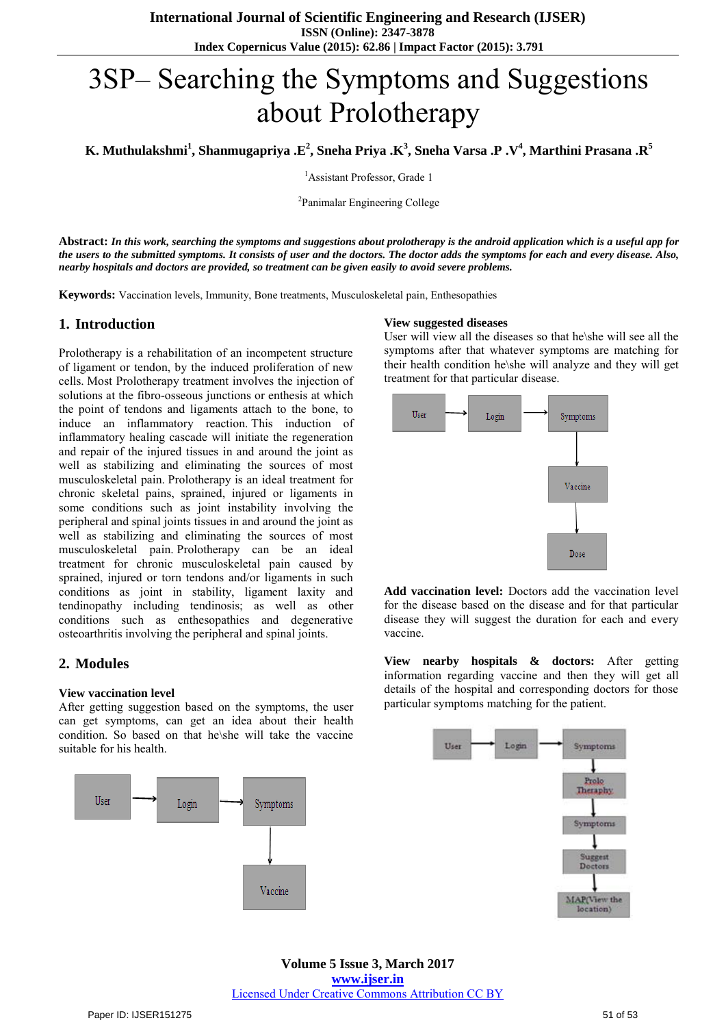# 3SP– Searching the Symptoms and Suggestions about Prolotherapy

**K. Muthulakshmi<sup>1</sup> , Shanmugapriya .E<sup>2</sup> , Sneha Priya .K<sup>3</sup> , Sneha Varsa .P .V<sup>4</sup> , Marthini Prasana .R<sup>5</sup>**

<sup>1</sup>Assistant Professor, Grade 1

<sup>2</sup>Panimalar Engineering College

**Abstract:** *In this work, searching the symptoms and suggestions about prolotherapy is the android application which is a useful app for the users to the submitted symptoms. It consists of user and the doctors. The doctor adds the symptoms for each and every disease. Also, nearby hospitals and doctors are provided, so treatment can be given easily to avoid severe problems.*

**Keywords:** Vaccination levels, Immunity, Bone treatments, Musculoskeletal pain, Enthesopathies

#### **1. Introduction**

Prolotherapy is a rehabilitation of an incompetent structure of ligament or tendon, by the induced proliferation of new cells. Most Prolotherapy treatment involves the injection of solutions at the fibro-osseous junctions or enthesis at which the point of tendons and ligaments attach to the bone, to induce an inflammatory reaction. This induction of inflammatory healing cascade will initiate the regeneration and repair of the injured tissues in and around the joint as well as stabilizing and eliminating the sources of most musculoskeletal pain. Prolotherapy is an ideal treatment for chronic skeletal pains, sprained, injured or ligaments in some conditions such as joint instability involving the peripheral and spinal joints tissues in and around the joint as well as stabilizing and eliminating the sources of most musculoskeletal pain. Prolotherapy can be an ideal treatment for chronic musculoskeletal pain caused by sprained, injured or torn tendons and/or ligaments in such conditions as joint in stability, ligament laxity and tendinopathy including tendinosis; as well as other conditions such as enthesopathies and degenerative osteoarthritis involving the peripheral and spinal joints.

#### **2. Modules**

#### **View vaccination level**

After getting suggestion based on the symptoms, the user can get symptoms, can get an idea about their health condition. So based on that he\she will take the vaccine suitable for his health.



#### **View suggested diseases**

User will view all the diseases so that he\she will see all the symptoms after that whatever symptoms are matching for their health condition he\she will analyze and they will get treatment for that particular disease.



**Add vaccination level:** Doctors add the vaccination level for the disease based on the disease and for that particular disease they will suggest the duration for each and every vaccine.

**View nearby hospitals & doctors:** After getting information regarding vaccine and then they will get all details of the hospital and corresponding doctors for those particular symptoms matching for the patient.

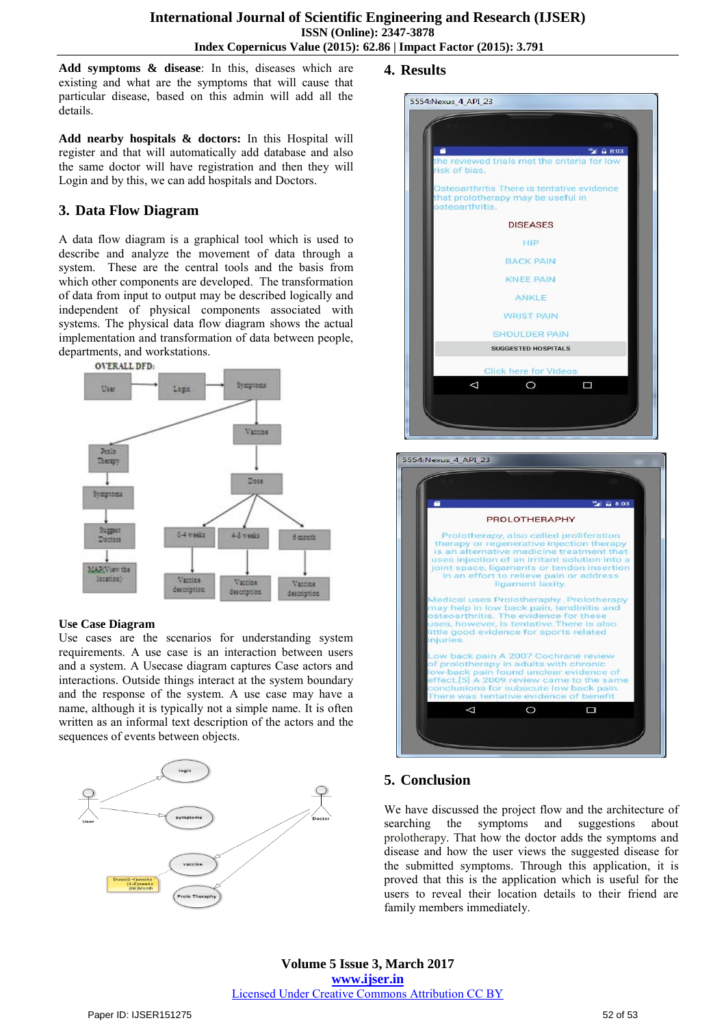**Add symptoms & disease**: In this, diseases which are existing and what are the symptoms that will cause that particular disease, based on this admin will add all the details.

**Add nearby hospitals & doctors:** In this Hospital will register and that will automatically add database and also the same doctor will have registration and then they will Login and by this, we can add hospitals and Doctors.

# **3. Data Flow Diagram**

A data flow diagram is a graphical tool which is used to describe and analyze the movement of data through a system. These are the central tools and the basis from which other components are developed. The transformation of data from input to output may be described logically and independent of physical components associated with systems. The physical data flow diagram shows the actual implementation and transformation of data between people, departments, and workstations.



#### **Use Case Diagram**

Use cases are the scenarios for understanding system requirements. A use case is an interaction between users and a system. A Usecase diagram captures Case actors and interactions. Outside things interact at the system boundary and the response of the system. A use case may have a name, although it is typically not a simple name. It is often written as an informal text description of the actors and the sequences of events between objects.



### **4. Results**

# 5554: Nexus 4 API 23 <sup>35</sup> a 8:03 ved trials met the criteria for lo sk of bias Osteoarthritis There is tentative evidence that prolotherapy may be useful in steoarthritis DISEASES HIP **BACK PAIN KNEE PAIN** ANKLE **WRIST PAIN** SHOULDER PAIN **SUGGESTED HOSPITALS**  $\Box$ ◁  $\circ$ 5554: Nexus 4 API 23



## **5. Conclusion**

We have discussed the project flow and the architecture of searching the symptoms and suggestions about prolotherapy. That how the doctor adds the symptoms and disease and how the user views the suggested disease for the submitted symptoms. Through this application, it is proved that this is the application which is useful for the users to reveal their location details to their friend are family members immediately.

**Volume 5 Issue 3, March 2017 www.ijser.in** Licensed Under Creative Commons Attribution CC BY